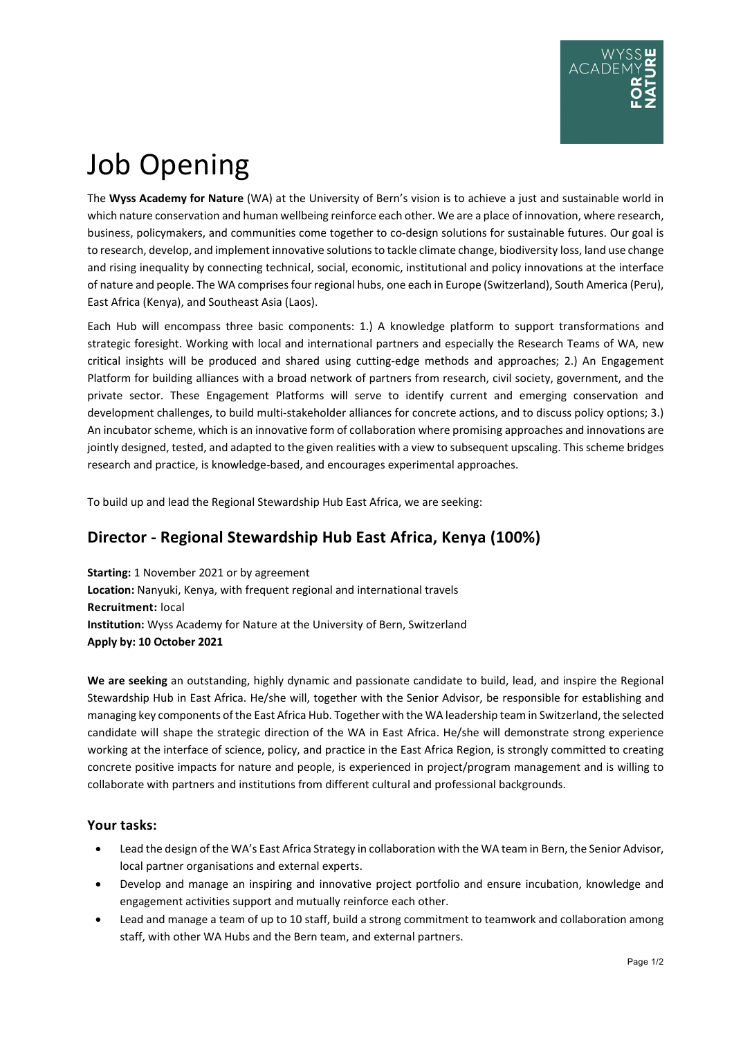# Job Opening

The **Wyss Academy for Nature** (WA) at the University of Bern's vision is to achieve a just and sustainable world in which nature conservation and human wellbeing reinforce each other. We are a place of innovation, where research, business, policymakers, and communities come together to co-design solutions for sustainable futures. Our goal is to research, develop, and implement innovative solutions to tackle climate change, biodiversity loss, land use change and rising inequality by connecting technical, social, economic, institutional and policy innovations at the interface of nature and people. The WA comprises four regional hubs, one each in Europe (Switzerland), South America (Peru), East Africa (Kenya), and Southeast Asia (Laos).

Each Hub will encompass three basic components: 1.) A knowledge platform to support transformations and strategic foresight. Working with local and international partners and especially the Research Teams of WA, new critical insights will be produced and shared using cutting-edge methods and approaches; 2.) An Engagement Platform for building alliances with a broad network of partners from research, civil society, government, and the private sector. These Engagement Platforms will serve to identify current and emerging conservation and development challenges, to build multi-stakeholder alliances for concrete actions, and to discuss policy options; 3.) An incubator scheme, which is an innovative form of collaboration where promising approaches and innovations are jointly designed, tested, and adapted to the given realities with a view to subsequent upscaling. This scheme bridges research and practice, is knowledge-based, and encourages experimental approaches.

To build up and lead the Regional Stewardship Hub East Africa, we are seeking:

## **Director - Regional Stewardship Hub East Africa, Kenya (100%)**

**Starting:** 1 November 2021 or by agreement **Location:** Nanyuki, Kenya, with frequent regional and international travels **Recruitment:** local **Institution:** Wyss Academy for Nature at the University of Bern, Switzerland **Apply by: 10 October 2021**

**We are seeking** an outstanding, highly dynamic and passionate candidate to build, lead, and inspire the Regional Stewardship Hub in East Africa. He/she will, together with the Senior Advisor, be responsible for establishing and managing key components of the East Africa Hub. Together with the WA leadership team in Switzerland, the selected candidate will shape the strategic direction of the WA in East Africa. He/she will demonstrate strong experience working at the interface of science, policy, and practice in the East Africa Region, is strongly committed to creating concrete positive impacts for nature and people, is experienced in project/program management and is willing to collaborate with partners and institutions from different cultural and professional backgrounds.

### **Your tasks:**

- Lead the design of the WA's East Africa Strategy in collaboration with the WA team in Bern, the Senior Advisor, local partner organisations and external experts.
- Develop and manage an inspiring and innovative project portfolio and ensure incubation, knowledge and engagement activities support and mutually reinforce each other.
- Lead and manage a team of up to 10 staff, build a strong commitment to teamwork and collaboration among staff, with other WA Hubs and the Bern team, and external partners.